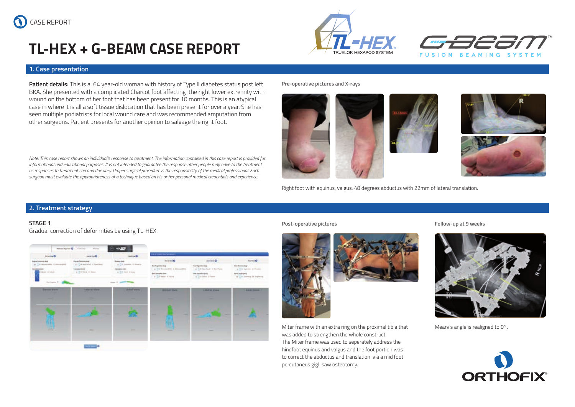# **TL-HEX + G-BEAM CASE REPORT**

# **1. Case presentation**

**Patient details:** This is a 64 year-old woman with history of Type II diabetes status post left BKA. She presented with a complicated Charcot foot affecting the right lower extremity with wound on the bottom of her foot that has been present for 10 months. This is an atypical case in where it is all a soft tissue dislocation that has been present for over a year. She has seen multiple podiatrists for local wound care and was recommended amputation from other surgeons. Patient presents for another opinion to salvage the right foot.

*Note: This case report shows an individual's response to treatment. The information contained in this case report is provided for*  informational and educational purposes. It is not intended to guarantee the response other people may have to the treatment *as responses to treatment can and due vary. Proper surgical procedure is the responsibility of the medical professional. Each surgeon must evaluate the appropriateness of a technique based on his or her personal medical credentials and experience.*

**Pre-operative pictures and X-rays** 





**FUSION BEAMING SYSTEM** 



Right foot with equinus, valgus, 48 degrees abductus with 22mm of lateral translation.

# **2. Treatment strategy**

## **STAGE 1**

Gradual correction of deformities by using TL-HEX.



**Post-operative pictures Follow-up at 9 weeks**



Miter frame with an extra ring on the proximal tibia that  $Meary's$  angle is realigned to 0 $\degree$ . was added to strengthen the whole construct. The Miter frame was used to seperately address the hindfoot equinus and valgus and the foot portion was to correct the abductus and translation via a mid foot percutaneus gigli saw osteotomy.